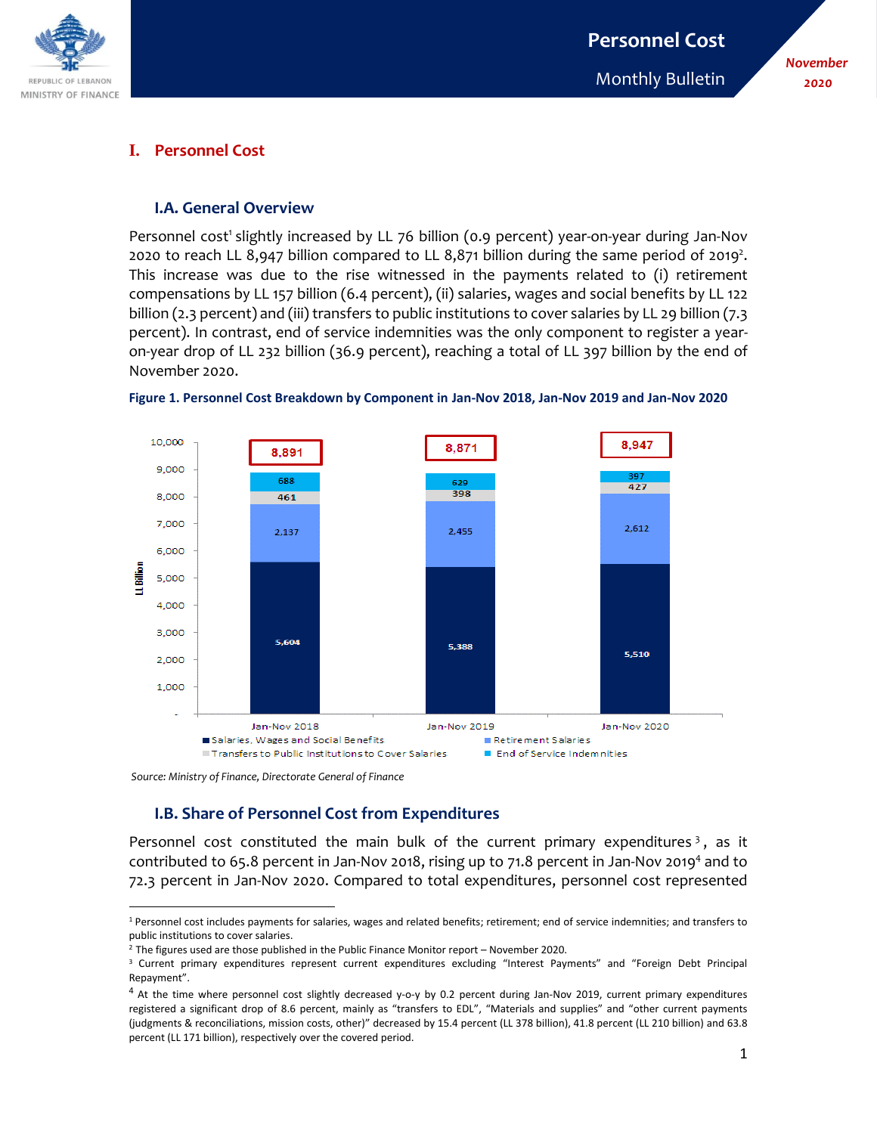

#### *November 2020*

## **I. Personnel Cost**

#### **I.A. General Overview**

Personnel cost<sup>1</sup> slightly increased by LL 76 billion (0.9 percent) year-on-year during Jan-Nov 2020 to reach LL 8,947 billion compared to LL 8,871 billion during the same period of 2019<sup>2</sup>. This increase was due to the rise witnessed in the payments related to (i) retirement compensations by LL 157 billion (6.4 percent), (ii) salaries, wages and social benefits by LL 122 billion (2.3 percent) and (iii) transfers to public institutions to cover salaries by LL 29 billion (7.3 percent). In contrast, end of service indemnities was the only component to register a yearon-year drop of LL 232 billion (36.9 percent), reaching a total of LL 397 billion by the end of November 2020.





*Source: Ministry of Finance, Directorate General of Finance*

# **I.B. Share of Personnel Cost from Expenditures**

Personnel cost constituted the main bulk of the current primary expenditures<sup>3</sup>, as it contributed to 65.8 percent in Jan-Nov 2018, rising up to 71.8 percent in Jan-Nov 2019<sup>4</sup> and to 72.3 percent in Jan-Nov 2020. Compared to total expenditures, personnel cost represented

 $\overline{\phantom{a}}$ <sup>1</sup> Personnel cost includes payments for salaries, wages and related benefits; retirement; end of service indemnities; and transfers to public institutions to cover salaries.

 $2$  The figures used are those published in the Public Finance Monitor report – November 2020.

<sup>&</sup>lt;sup>3</sup> Current primary expenditures represent current expenditures excluding "Interest Payments" and "Foreign Debt Principal Repayment".

<sup>&</sup>lt;sup>4</sup> At the time where personnel cost slightly decreased y-o-y by 0.2 percent during Jan-Nov 2019, current primary expenditures registered a significant drop of 8.6 percent, mainly as "transfers to EDL", "Materials and supplies" and "other current payments (judgments & reconciliations, mission costs, other)" decreased by 15.4 percent (LL 378 billion), 41.8 percent (LL 210 billion) and 63.8 percent (LL 171 billion), respectively over the covered period.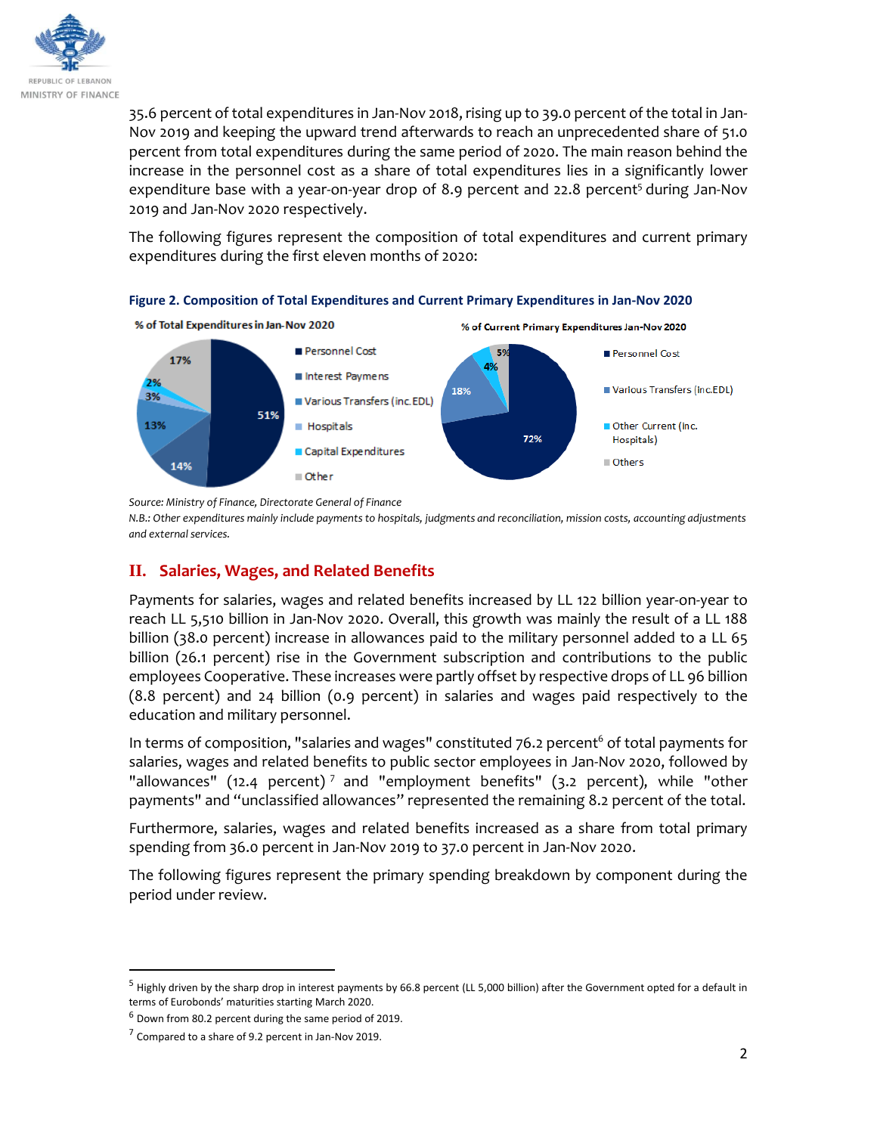

35.6 percent of total expenditures in Jan-Nov 2018, rising up to 39.0 percent of the total in Jan-Nov 2019 and keeping the upward trend afterwards to reach an unprecedented share of 51.0 percent from total expenditures during the same period of 2020. The main reason behind the increase in the personnel cost as a share of total expenditures lies in a significantly lower expenditure base with a year-on-year drop of 8.9 percent and 22.8 percent<sup>5</sup> during Jan-Nov 2019 and Jan-Nov 2020 respectively.

The following figures represent the composition of total expenditures and current primary expenditures during the first eleven months of 2020:



**Figure 2. Composition of Total Expenditures and Current Primary Expenditures in Jan-Nov 2020**

*Source: Ministry of Finance, Directorate General of Finance* 

*N.B.: Other expenditures mainly include payments to hospitals, judgments and reconciliation, mission costs, accounting adjustments and external services.* 

# **II. Salaries, Wages, and Related Benefits**

Payments for salaries, wages and related benefits increased by LL 122 billion year-on-year to reach LL 5,510 billion in Jan-Nov 2020. Overall, this growth was mainly the result of a LL 188 billion (38.0 percent) increase in allowances paid to the military personnel added to a LL 65 billion (26.1 percent) rise in the Government subscription and contributions to the public employees Cooperative. These increases were partly offset by respective drops of LL 96 billion (8.8 percent) and 24 billion (0.9 percent) in salaries and wages paid respectively to the education and military personnel.

In terms of composition, "salaries and wages" constituted  $76.2$  percent<sup>6</sup> of total payments for salaries, wages and related benefits to public sector employees in Jan-Nov 2020, followed by "allowances" (12.4 percent)<sup>7</sup> and "employment benefits" (3.2 percent), while "other payments" and "unclassified allowances" represented the remaining 8.2 percent of the total.

Furthermore, salaries, wages and related benefits increased as a share from total primary spending from 36.0 percent in Jan-Nov 2019 to 37.0 percent in Jan-Nov 2020.

The following figures represent the primary spending breakdown by component during the period under review.

l

 $<sup>5</sup>$  Highly driven by the sharp drop in interest payments by 66.8 percent (LL 5,000 billion) after the Government opted for a default in</sup> terms of Eurobonds' maturities starting March 2020.

 $6$  Down from 80.2 percent during the same period of 2019.

 $7$  Compared to a share of 9.2 percent in Jan-Nov 2019.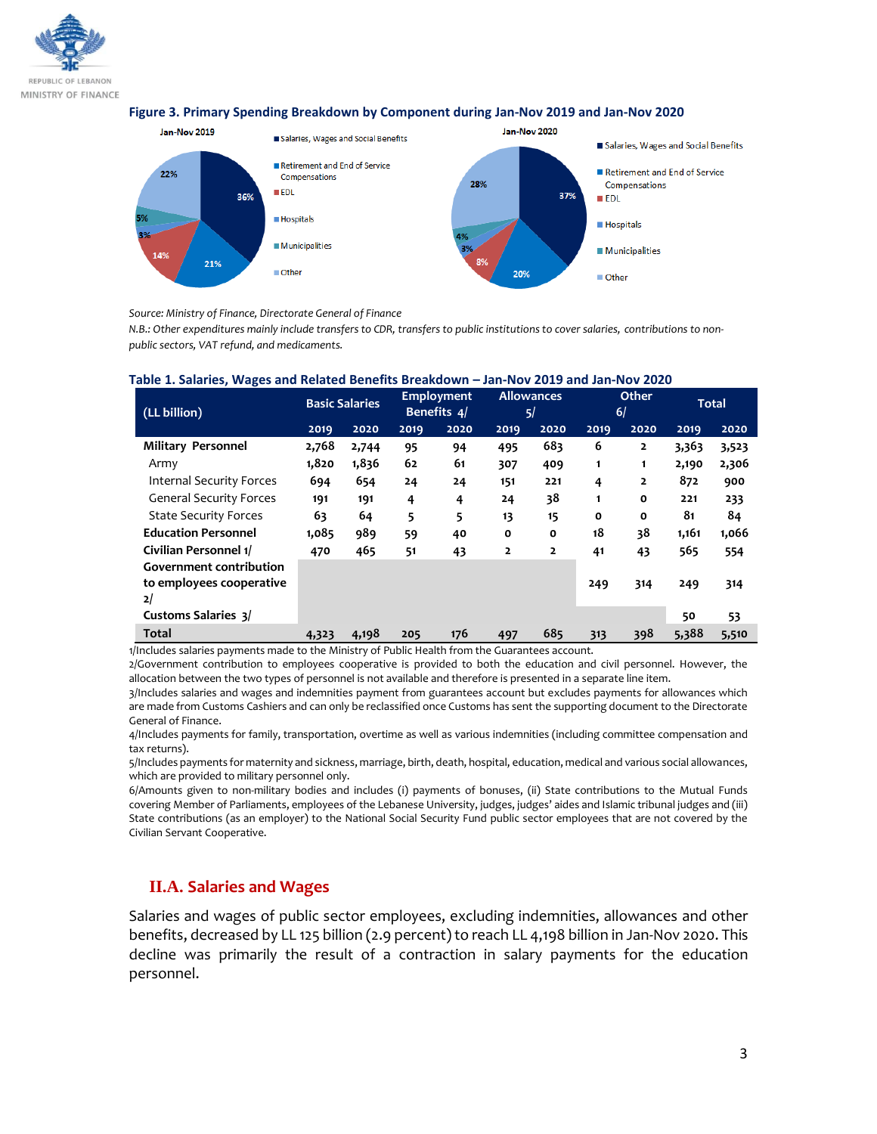

#### **Figure 3. Primary Spending Breakdown by Component during Jan-Nov 2019 and Jan-Nov 2020**



*Source: Ministry of Finance, Directorate General of Finance* 

*N.B.: Other expenditures mainly include transfers to CDR, transfers to public institutions to cover salaries, contributions to nonpublic sectors, VAT refund, and medicaments.*

| (LL billion)                                                     | <b>Basic Salaries</b> |       | <b>Employment</b><br>Benefits 4/ |      | <b>Allowances</b><br>5/ |                | Other<br>6/  |                | <b>Total</b> |       |
|------------------------------------------------------------------|-----------------------|-------|----------------------------------|------|-------------------------|----------------|--------------|----------------|--------------|-------|
|                                                                  | 2019                  | 2020  | 2019                             | 2020 | 2019                    | 2020           | 2019         | 2020           | 2019         | 2020  |
| Military Personnel                                               | 2,768                 | 2,744 | 95                               | 94   | 495                     | 683            | 6            | $\overline{2}$ | 3,363        | 3,523 |
| Army                                                             | 1,820                 | 1,836 | 62                               | 61   | 307                     | 409            | 1            | 1              | 2,190        | 2,306 |
| <b>Internal Security Forces</b>                                  | 694                   | 654   | 24                               | 24   | 151                     | 221            | 4            | $\overline{2}$ | 872          | 900   |
| <b>General Security Forces</b>                                   | 191                   | 191   | 4                                | 4    | 24                      | 38             | 1            | O              | 221          | 233   |
| <b>State Security Forces</b>                                     | 63                    | 64    | 5                                | 5    | 13                      | 15             | $\mathbf{o}$ | 0              | 81           | 84    |
| <b>Education Personnel</b>                                       | 1,085                 | 989   | 59                               | 40   | $\mathbf{o}$            | $\mathbf{o}$   | 18           | 38             | 1,161        | 1,066 |
| Civilian Personnel 1/                                            | 470                   | 465   | 51                               | 43   | $\overline{2}$          | $\overline{2}$ | 41           | 43             | 565          | 554   |
| <b>Government contribution</b><br>to employees cooperative<br>2/ |                       |       |                                  |      |                         |                | 249          | 314            | 249          | 314   |
| <b>Customs Salaries 3/</b>                                       |                       |       |                                  |      |                         |                |              |                | 50           | 53    |
| <b>Total</b>                                                     | 4,323                 | 4,198 | 205                              | 176  | 497                     | 685            | 313          | 398            | 5,388        | 5,510 |

#### **Table 1. Salaries, Wages and Related Benefits Breakdown – Jan-Nov 2019 and Jan-Nov 2020**

1/Includes salaries payments made to the Ministry of Public Health from the Guarantees account.

2/Government contribution to employees cooperative is provided to both the education and civil personnel. However, the allocation between the two types of personnel is not available and therefore is presented in a separate line item.

3/Includes salaries and wages and indemnities payment from guarantees account but excludes payments for allowances which are made from Customs Cashiers and can only be reclassified once Customs has sent the supporting document to the Directorate General of Finance.

4/Includes payments for family, transportation, overtime as well as various indemnities (including committee compensation and tax returns).

5/Includes payments for maternity and sickness, marriage, birth, death, hospital, education, medical and various social allowances, which are provided to military personnel only.

6/Amounts given to non-military bodies and includes (i) payments of bonuses, (ii) State contributions to the Mutual Funds covering Member of Parliaments, employees of the Lebanese University, judges, judges' aides and Islamic tribunal judges and (iii) State contributions (as an employer) to the National Social Security Fund public sector employees that are not covered by the Civilian Servant Cooperative.

### **II.A. Salaries and Wages**

Salaries and wages of public sector employees, excluding indemnities, allowances and other benefits, decreased by LL 125 billion (2.9 percent) to reach LL 4,198 billion in Jan-Nov 2020. This decline was primarily the result of a contraction in salary payments for the education personnel.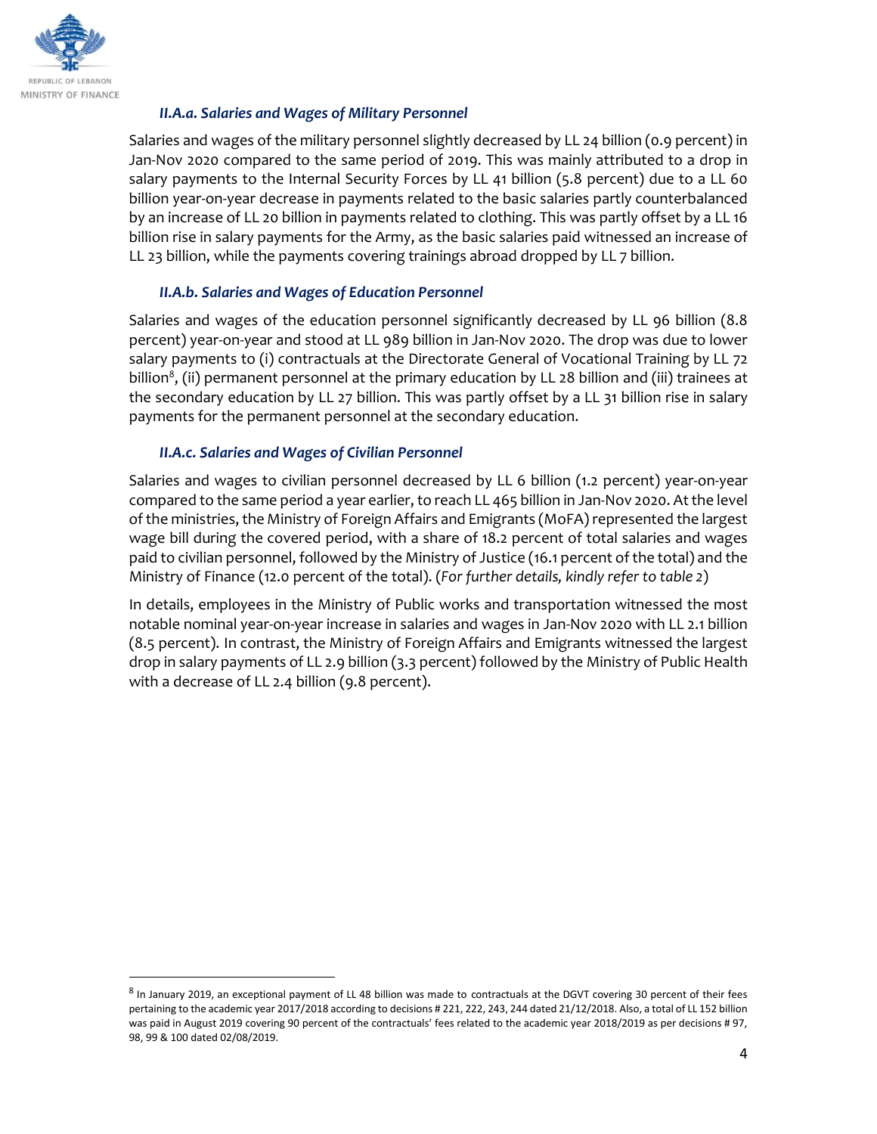

 $\overline{a}$ 

## *II.A.a. Salaries and Wages of Military Personnel*

Salaries and wages of the military personnel slightly decreased by LL 24 billion (0.9 percent) in Jan-Nov 2020 compared to the same period of 2019. This was mainly attributed to a drop in salary payments to the Internal Security Forces by LL 41 billion (5.8 percent) due to a LL 60 billion year-on-year decrease in payments related to the basic salaries partly counterbalanced by an increase of LL 20 billion in payments related to clothing. This was partly offset by a LL 16 billion rise in salary payments for the Army, as the basic salaries paid witnessed an increase of LL 23 billion, while the payments covering trainings abroad dropped by LL 7 billion.

## *II.A.b. Salaries and Wages of Education Personnel*

Salaries and wages of the education personnel significantly decreased by LL 96 billion (8.8 percent) year-on-year and stood at LL 989 billion in Jan-Nov 2020. The drop was due to lower salary payments to (i) contractuals at the Directorate General of Vocational Training by LL 72 billion $^8$ , (ii) permanent personnel at the primary education by LL 28 billion and (iii) trainees at the secondary education by LL 27 billion. This was partly offset by a LL 31 billion rise in salary payments for the permanent personnel at the secondary education.

### *II.A.c. Salaries and Wages of Civilian Personnel*

Salaries and wages to civilian personnel decreased by LL 6 billion (1.2 percent) year-on-year compared to the same period a year earlier, to reach LL 465 billion in Jan-Nov 2020. At the level of the ministries, the Ministry of Foreign Affairs and Emigrants (MoFA) represented the largest wage bill during the covered period, with a share of 18.2 percent of total salaries and wages paid to civilian personnel, followed by the Ministry of Justice (16.1 percent of the total) and the Ministry of Finance (12.0 percent of the total). (*For further details, kindly refer to table 2*)

In details, employees in the Ministry of Public works and transportation witnessed the most notable nominal year-on-year increase in salaries and wages in Jan-Nov 2020 with LL 2.1 billion (8.5 percent). In contrast, the Ministry of Foreign Affairs and Emigrants witnessed the largest drop in salary payments of LL 2.9 billion (3.3 percent) followed by the Ministry of Public Health with a decrease of LL 2.4 billion (9.8 percent).

<sup>&</sup>lt;sup>8</sup> In January 2019, an exceptional payment of LL 48 billion was made to contractuals at the DGVT covering 30 percent of their fees pertaining to the academic year 2017/2018 according to decisions # 221, 222, 243, 244 dated 21/12/2018. Also, a total of LL 152 billion was paid in August 2019 covering 90 percent of the contractuals' fees related to the academic year 2018/2019 as per decisions # 97, 98, 99 & 100 dated 02/08/2019.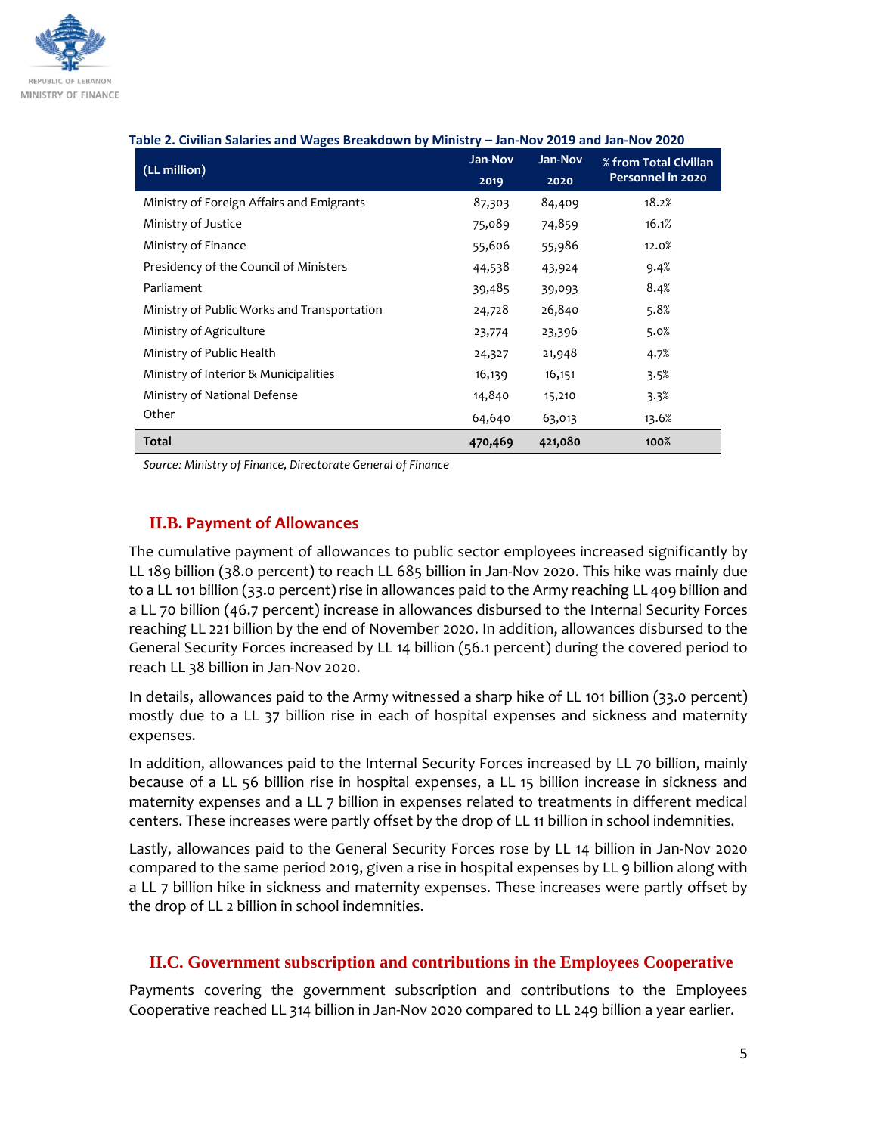

#### **Table 2. Civilian Salaries and Wages Breakdown by Ministry – Jan-Nov 2019 and Jan-Nov 2020**

| (LL million)                                | Jan-Nov | Jan-Nov | % from Total Civilian<br>Personnel in 2020 |  |
|---------------------------------------------|---------|---------|--------------------------------------------|--|
|                                             | 2019    | 2020    |                                            |  |
| Ministry of Foreign Affairs and Emigrants   | 87,303  | 84,409  | 18.2%                                      |  |
| Ministry of Justice                         | 75,089  | 74,859  | 16.1%                                      |  |
| Ministry of Finance                         | 55,606  | 55,986  | 12.0%                                      |  |
| Presidency of the Council of Ministers      | 44,538  | 43,924  | 9.4%                                       |  |
| Parliament                                  | 39,485  | 39,093  | 8.4%                                       |  |
| Ministry of Public Works and Transportation | 24,728  | 26,840  | 5.8%                                       |  |
| Ministry of Agriculture                     | 23,774  | 23,396  | 5.0%                                       |  |
| Ministry of Public Health                   | 24,327  | 21,948  | 4.7%                                       |  |
| Ministry of Interior & Municipalities       | 16,139  | 16,151  | 3.5%                                       |  |
| Ministry of National Defense                | 14,840  | 15,210  | 3.3%                                       |  |
| Other                                       | 64,640  | 63,013  | 13.6%                                      |  |
| <b>Total</b>                                | 470,469 | 421,080 | 100%                                       |  |

*Source: Ministry of Finance, Directorate General of Finance* 

# **II.B. Payment of Allowances**

The cumulative payment of allowances to public sector employees increased significantly by LL 189 billion (38.0 percent) to reach LL 685 billion in Jan-Nov 2020. This hike was mainly due to a LL 101 billion (33.0 percent) rise in allowances paid to the Army reaching LL 409 billion and a LL 70 billion (46.7 percent) increase in allowances disbursed to the Internal Security Forces reaching LL 221 billion by the end of November 2020. In addition, allowances disbursed to the General Security Forces increased by LL 14 billion (56.1 percent) during the covered period to reach LL 38 billion in Jan-Nov 2020.

In details, allowances paid to the Army witnessed a sharp hike of LL 101 billion (33.0 percent) mostly due to a LL 37 billion rise in each of hospital expenses and sickness and maternity expenses.

In addition, allowances paid to the Internal Security Forces increased by LL 70 billion, mainly because of a LL 56 billion rise in hospital expenses, a LL 15 billion increase in sickness and maternity expenses and a LL 7 billion in expenses related to treatments in different medical centers. These increases were partly offset by the drop of LL 11 billion in school indemnities.

Lastly, allowances paid to the General Security Forces rose by LL 14 billion in Jan-Nov 2020 compared to the same period 2019, given a rise in hospital expenses by LL 9 billion along with a LL 7 billion hike in sickness and maternity expenses. These increases were partly offset by the drop of LL 2 billion in school indemnities.

#### **II.C. Government subscription and contributions in the Employees Cooperative**

Payments covering the government subscription and contributions to the Employees Cooperative reached LL 314 billion in Jan-Nov 2020 compared to LL 249 billion a year earlier.